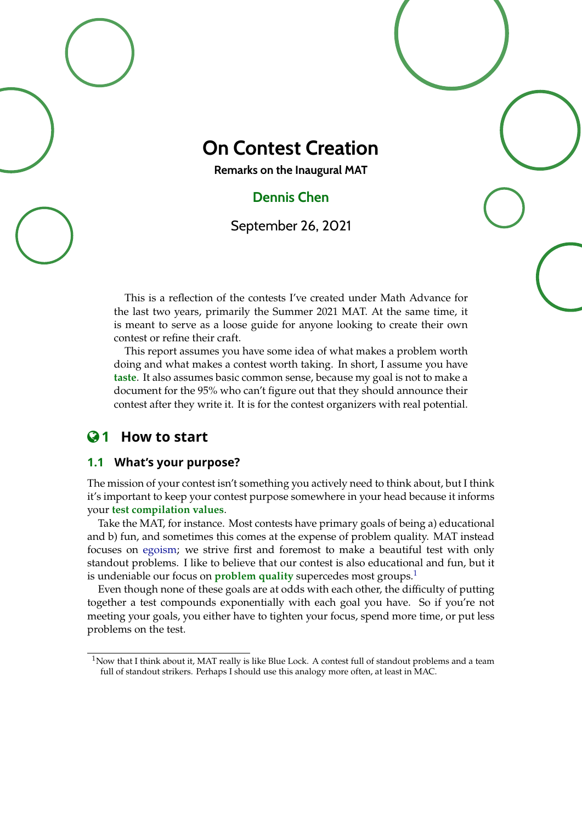

# **On Contest Creation**

**Remarks on the Inaugural MAT**

## **Dennis Chen**

September 26, 2021

This is a reflection of the contests I've created under Math Advance for the last two years, primarily the Summer 2021 MAT. At the same time, it is meant to serve as a loose guide for anyone looking to create their own contest or refine their craft.

This report assumes you have some idea of what makes a problem worth doing and what makes a contest worth taking. In short, I assume you have **taste**. It also assumes basic common sense, because my goal is not to make a document for the 95% who can't figure out that they should announce their contest after they write it. It is for the contest organizers with real potential.

### **1 How to start**

### **1.1 What's your purpose?**

The mission of your contest isn't something you actively need to think about, but I think it's important to keep your contest purpose somewhere in your head because it informs your **test compilation values**.

Take the MAT, for instance. Most contests have primary goals of being a) educational and b) fun, and sometimes this comes at the expense of problem quality. MAT instead focuses on [egoism;](https://myanimelist.net/manga/114745/Blue_Lock) we strive first and foremost to make a beautiful test with only standout problems. I like to believe that our contest is also educational and fun, but it is undeniable our focus on **problem quality** supercedes most groups.<sup>[1](#page-0-0)</sup>

Even though none of these goals are at odds with each other, the difficulty of putting together a test compounds exponentially with each goal you have. So if you're not meeting your goals, you either have to tighten your focus, spend more time, or put less problems on the test.

<span id="page-0-0"></span> $1$ Now that I think about it, MAT really is like Blue Lock. A contest full of standout problems and a team full of standout strikers. Perhaps I should use this analogy more often, at least in MAC.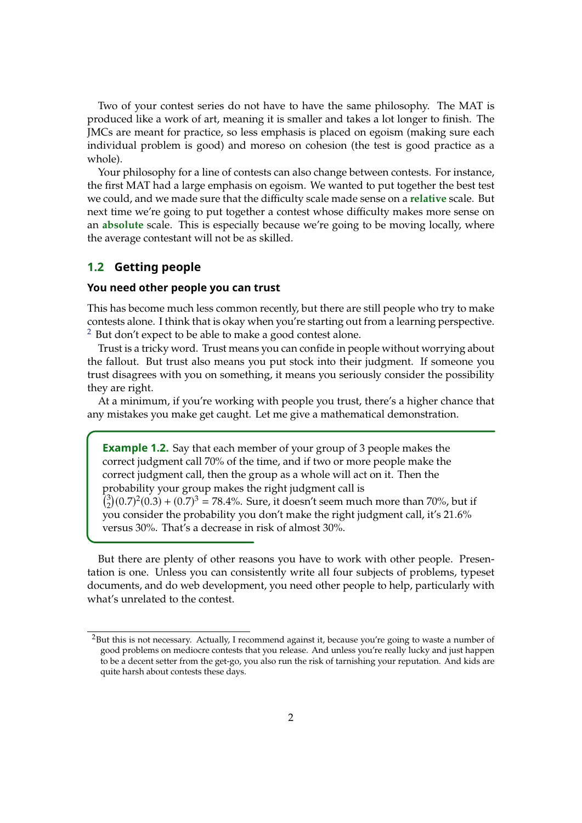Two of your contest series do not have to have the same philosophy. The MAT is produced like a work of art, meaning it is smaller and takes a lot longer to finish. The JMCs are meant for practice, so less emphasis is placed on egoism (making sure each individual problem is good) and moreso on cohesion (the test is good practice as a whole).

Your philosophy for a line of contests can also change between contests. For instance, the first MAT had a large emphasis on egoism. We wanted to put together the best test we could, and we made sure that the difficulty scale made sense on a **relative** scale. But next time we're going to put together a contest whose difficulty makes more sense on an **absolute** scale. This is especially because we're going to be moving locally, where the average contestant will not be as skilled.

#### **1.2 Getting people**

#### **You need other people you can trust**

This has become much less common recently, but there are still people who try to make contests alone. I think that is okay when you're starting out from a learning perspective.  $2$  But don't expect to be able to make a good contest alone.

Trust is a tricky word. Trust means you can confide in people without worrying about the fallout. But trust also means you put stock into their judgment. If someone you trust disagrees with you on something, it means you seriously consider the possibility they are right.

At a minimum, if you're working with people you trust, there's a higher chance that any mistakes you make get caught. Let me give a mathematical demonstration.

**Example 1.2.** Say that each member of your group of 3 people makes the correct judgment call 70% of the time, and if two or more people make the correct judgment call, then the group as a whole will act on it. Then the probability your group makes the right judgment call is  $\binom{3}{2}$  $^{2}_{2}(0.7)^{2}(0.3) + (0.7)^{3} = 78.4\%$ . Sure, it doesn't seem much more than 70%, but if  $^{2}_{2}(0.7)^{2}(0.3)$  +  $(0.7)^{3} = 78.4\%$ . Sure, it doesn't seem much more than 70%, but if you consider the probability you don't make the right judgment call, it's <sup>21</sup>.6% versus 30%. That's a decrease in risk of almost 30%.

But there are plenty of other reasons you have to work with other people. Presentation is one. Unless you can consistently write all four subjects of problems, typeset documents, and do web development, you need other people to help, particularly with what's unrelated to the contest.

<span id="page-1-0"></span><sup>&</sup>lt;sup>2</sup>But this is not necessary. Actually, I recommend against it, because you're going to waste a number of good problems on mediocre contests that you release. And unless you're really lucky and just happen to be a decent setter from the get-go, you also run the risk of tarnishing your reputation. And kids are quite harsh about contests these days.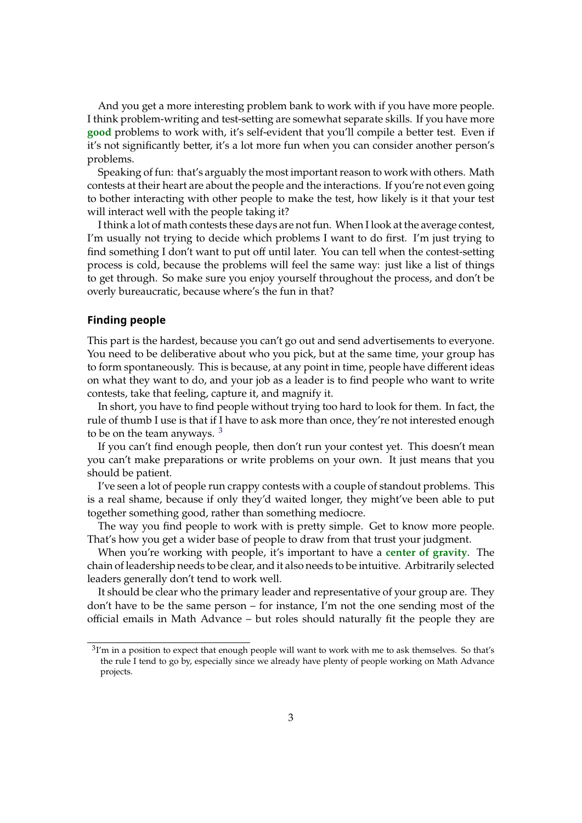And you get a more interesting problem bank to work with if you have more people. I think problem-writing and test-setting are somewhat separate skills. If you have more **good** problems to work with, it's self-evident that you'll compile a better test. Even if it's not significantly better, it's a lot more fun when you can consider another person's problems.

Speaking of fun: that's arguably the most important reason to work with others. Math contests at their heart are about the people and the interactions. If you're not even going to bother interacting with other people to make the test, how likely is it that your test will interact well with the people taking it?

I think a lot of math contests these days are not fun. When I look at the average contest, I'm usually not trying to decide which problems I want to do first. I'm just trying to find something I don't want to put off until later. You can tell when the contest-setting process is cold, because the problems will feel the same way: just like a list of things to get through. So make sure you enjoy yourself throughout the process, and don't be overly bureaucratic, because where's the fun in that?

#### **Finding people**

This part is the hardest, because you can't go out and send advertisements to everyone. You need to be deliberative about who you pick, but at the same time, your group has to form spontaneously. This is because, at any point in time, people have different ideas on what they want to do, and your job as a leader is to find people who want to write contests, take that feeling, capture it, and magnify it.

In short, you have to find people without trying too hard to look for them. In fact, the rule of thumb I use is that if I have to ask more than once, they're not interested enough to be on the team anyways.  $3$ 

If you can't find enough people, then don't run your contest yet. This doesn't mean you can't make preparations or write problems on your own. It just means that you should be patient.

I've seen a lot of people run crappy contests with a couple of standout problems. This is a real shame, because if only they'd waited longer, they might've been able to put together something good, rather than something mediocre.

The way you find people to work with is pretty simple. Get to know more people. That's how you get a wider base of people to draw from that trust your judgment.

When you're working with people, it's important to have a **center of gravity**. The chain of leadership needs to be clear, and it also needs to be intuitive. Arbitrarily selected leaders generally don't tend to work well.

It should be clear who the primary leader and representative of your group are. They don't have to be the same person – for instance, I'm not the one sending most of the official emails in Math Advance – but roles should naturally fit the people they are

<span id="page-2-0"></span> $3$ I'm in a position to expect that enough people will want to work with me to ask themselves. So that's the rule I tend to go by, especially since we already have plenty of people working on Math Advance projects.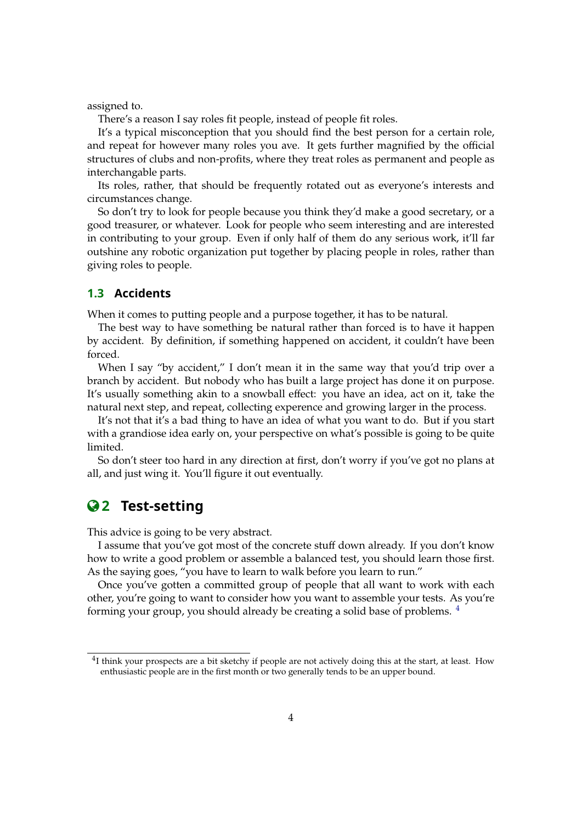assigned to.

There's a reason I say roles fit people, instead of people fit roles.

It's a typical misconception that you should find the best person for a certain role, and repeat for however many roles you ave. It gets further magnified by the official structures of clubs and non-profits, where they treat roles as permanent and people as interchangable parts.

Its roles, rather, that should be frequently rotated out as everyone's interests and circumstances change.

So don't try to look for people because you think they'd make a good secretary, or a good treasurer, or whatever. Look for people who seem interesting and are interested in contributing to your group. Even if only half of them do any serious work, it'll far outshine any robotic organization put together by placing people in roles, rather than giving roles to people.

### **1.3 Accidents**

When it comes to putting people and a purpose together, it has to be natural.

The best way to have something be natural rather than forced is to have it happen by accident. By definition, if something happened on accident, it couldn't have been forced.

When I say "by accident," I don't mean it in the same way that you'd trip over a branch by accident. But nobody who has built a large project has done it on purpose. It's usually something akin to a snowball effect: you have an idea, act on it, take the natural next step, and repeat, collecting experence and growing larger in the process.

It's not that it's a bad thing to have an idea of what you want to do. But if you start with a grandiose idea early on, your perspective on what's possible is going to be quite limited.

So don't steer too hard in any direction at first, don't worry if you've got no plans at all, and just wing it. You'll figure it out eventually.

### **2 Test-setting**

This advice is going to be very abstract.

I assume that you've got most of the concrete stuff down already. If you don't know how to write a good problem or assemble a balanced test, you should learn those first. As the saying goes, "you have to learn to walk before you learn to run."

Once you've gotten a committed group of people that all want to work with each other, you're going to want to consider how you want to assemble your tests. As you're forming your group, you should already be creating a solid base of problems. [4](#page-3-0)

<span id="page-3-0"></span><sup>&</sup>lt;sup>4</sup>I think your prospects are a bit sketchy if people are not actively doing this at the start, at least. How enthusiastic people are in the first month or two generally tends to be an upper bound.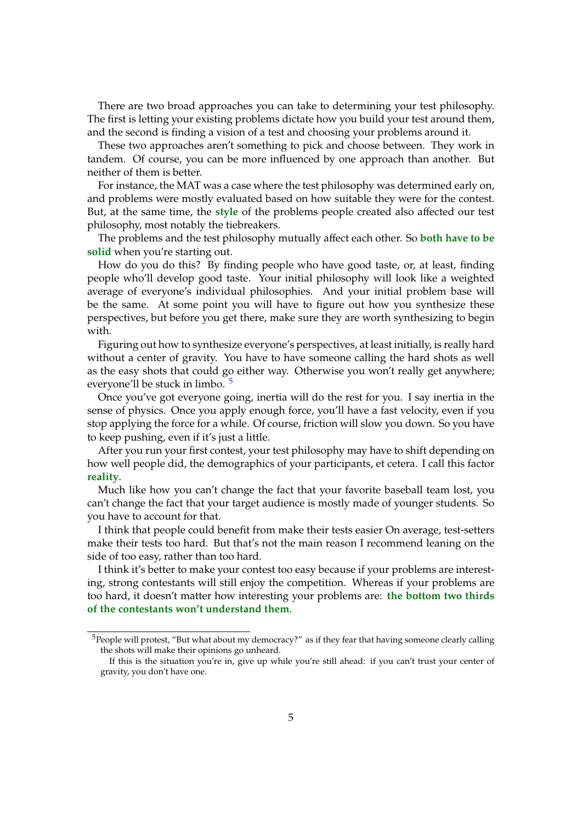There are two broad approaches you can take to determining your test philosophy. The first is letting your existing problems dictate how you build your test around them, and the second is finding a vision of a test and choosing your problems around it.

These two approaches aren't something to pick and choose between. They work in tandem. Of course, you can be more influenced by one approach than another. But neither of them is better.

For instance, the MAT was a case where the test philosophy was determined early on, and problems were mostly evaluated based on how suitable they were for the contest. But, at the same time, the **style** of the problems people created also affected our test philosophy, most notably the tiebreakers.

The problems and the test philosophy mutually affect each other. So **both have to be solid** when you're starting out.

How do you do this? By finding people who have good taste, or, at least, finding people who'll develop good taste. Your initial philosophy will look like a weighted average of everyone's individual philosophies. And your initial problem base will be the same. At some point you will have to figure out how you synthesize these perspectives, but before you get there, make sure they are worth synthesizing to begin with.

Figuring out how to synthesize everyone's perspectives, at least initially, is really hard without a center of gravity. You have to have someone calling the hard shots as well as the easy shots that could go either way. Otherwise you won't really get anywhere; everyone'll be stuck in limbo. [5](#page-4-0)

Once you've got everyone going, inertia will do the rest for you. I say inertia in the sense of physics. Once you apply enough force, you'll have a fast velocity, even if you stop applying the force for a while. Of course, friction will slow you down. So you have to keep pushing, even if it's just a little.

After you run your first contest, your test philosophy may have to shift depending on how well people did, the demographics of your participants, et cetera. I call this factor **reality**.

Much like how you can't change the fact that your favorite baseball team lost, you can't change the fact that your target audience is mostly made of younger students. So you have to account for that.

I think that people could benefit from make their tests easier On average, test-setters make their tests too hard. But that's not the main reason I recommend leaning on the side of too easy, rather than too hard.

I think it's better to make your contest too easy because if your problems are interesting, strong contestants will still enjoy the competition. Whereas if your problems are too hard, it doesn't matter how interesting your problems are: **the bottom two thirds of the contestants won't understand them**.

<span id="page-4-0"></span> $5$ People will protest, "But what about my democracy?" as if they fear that having someone clearly calling the shots will make their opinions go unheard.

If this is the situation you're in, give up while you're still ahead: if you can't trust your center of gravity, you don't have one.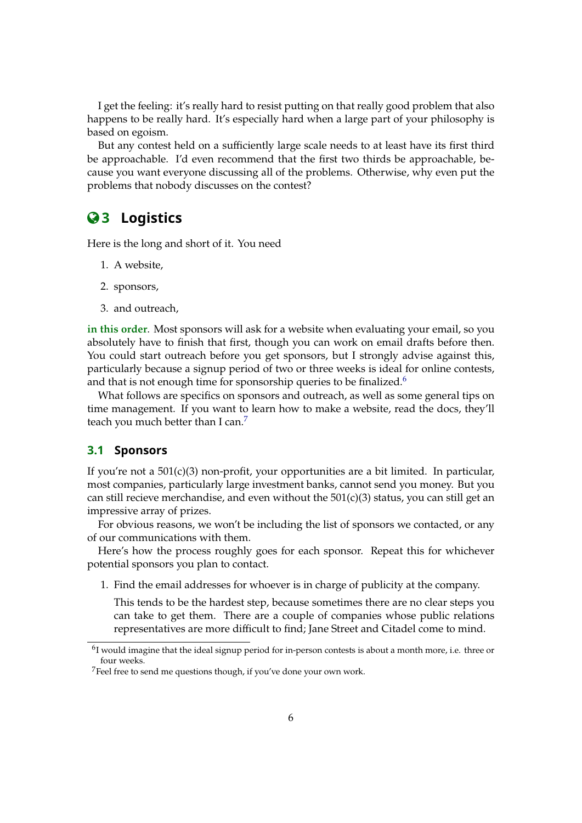I get the feeling: it's really hard to resist putting on that really good problem that also happens to be really hard. It's especially hard when a large part of your philosophy is based on egoism.

But any contest held on a sufficiently large scale needs to at least have its first third be approachable. I'd even recommend that the first two thirds be approachable, because you want everyone discussing all of the problems. Otherwise, why even put the problems that nobody discusses on the contest?

# **3 Logistics**

Here is the long and short of it. You need

- 1. A website,
- 2. sponsors,
- 3. and outreach,

**in this order**. Most sponsors will ask for a website when evaluating your email, so you absolutely have to finish that first, though you can work on email drafts before then. You could start outreach before you get sponsors, but I strongly advise against this, particularly because a signup period of two or three weeks is ideal for online contests, and that is not enough time for sponsorship queries to be finalized.<sup>[6](#page-5-0)</sup>

What follows are specifics on sponsors and outreach, as well as some general tips on time management. If you want to learn how to make a website, read the docs, they'll teach you much better than I can.<sup>[7](#page-5-1)</sup>

#### **3.1 Sponsors**

If you're not a 501(c)(3) non-profit, your opportunities are a bit limited. In particular, most companies, particularly large investment banks, cannot send you money. But you can still recieve merchandise, and even without the  $501(c)(3)$  status, you can still get an impressive array of prizes.

For obvious reasons, we won't be including the list of sponsors we contacted, or any of our communications with them.

Here's how the process roughly goes for each sponsor. Repeat this for whichever potential sponsors you plan to contact.

1. Find the email addresses for whoever is in charge of publicity at the company.

This tends to be the hardest step, because sometimes there are no clear steps you can take to get them. There are a couple of companies whose public relations representatives are more difficult to find; Jane Street and Citadel come to mind.

<span id="page-5-0"></span> $<sup>6</sup>I$  would imagine that the ideal signup period for in-person contests is about a month more, i.e. three or</sup> four weeks.

<span id="page-5-1"></span><sup>7</sup>Feel free to send me questions though, if you've done your own work.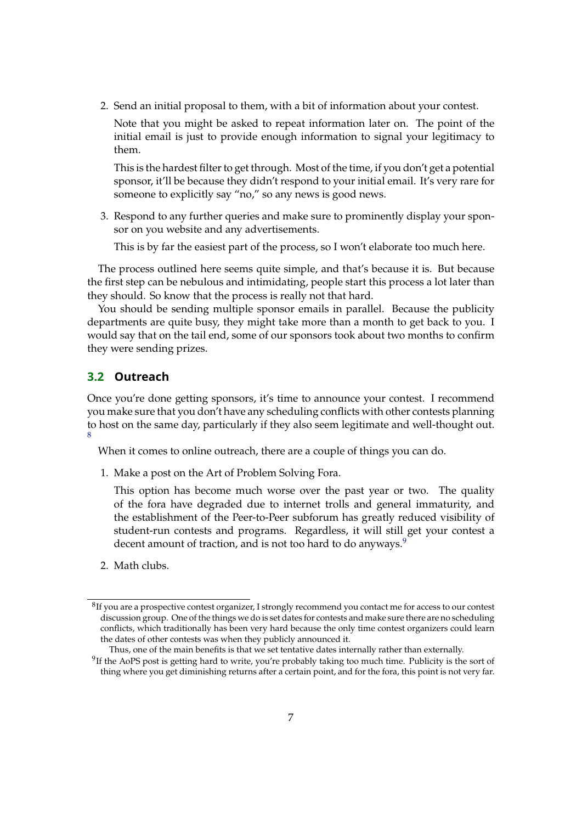2. Send an initial proposal to them, with a bit of information about your contest.

Note that you might be asked to repeat information later on. The point of the initial email is just to provide enough information to signal your legitimacy to them.

This is the hardest filter to get through. Most of the time, if you don't get a potential sponsor, it'll be because they didn't respond to your initial email. It's very rare for someone to explicitly say "no," so any news is good news.

3. Respond to any further queries and make sure to prominently display your sponsor on you website and any advertisements.

This is by far the easiest part of the process, so I won't elaborate too much here.

The process outlined here seems quite simple, and that's because it is. But because the first step can be nebulous and intimidating, people start this process a lot later than they should. So know that the process is really not that hard.

You should be sending multiple sponsor emails in parallel. Because the publicity departments are quite busy, they might take more than a month to get back to you. I would say that on the tail end, some of our sponsors took about two months to confirm they were sending prizes.

### **3.2 Outreach**

Once you're done getting sponsors, it's time to announce your contest. I recommend you make sure that you don't have any scheduling conflicts with other contests planning to host on the same day, particularly if they also seem legitimate and well-thought out. [8](#page-6-0)

When it comes to online outreach, there are a couple of things you can do.

1. Make a post on the Art of Problem Solving Fora.

This option has become much worse over the past year or two. The quality of the fora have degraded due to internet trolls and general immaturity, and the establishment of the Peer-to-Peer subforum has greatly reduced visibility of student-run contests and programs. Regardless, it will still get your contest a decent amount of traction, and is not too hard to do anyways.<sup>[9](#page-6-1)</sup>

2. Math clubs.

<span id="page-6-0"></span> ${}^{8}$ If you are a prospective contest organizer, I strongly recommend you contact me for access to our contest discussion group. One of the things we do is set dates for contests and make sure there are no scheduling conflicts, which traditionally has been very hard because the only time contest organizers could learn the dates of other contests was when they publicly announced it.

Thus, one of the main benefits is that we set tentative dates internally rather than externally.

<span id="page-6-1"></span> $9$ If the AoPS post is getting hard to write, you're probably taking too much time. Publicity is the sort of thing where you get diminishing returns after a certain point, and for the fora, this point is not very far.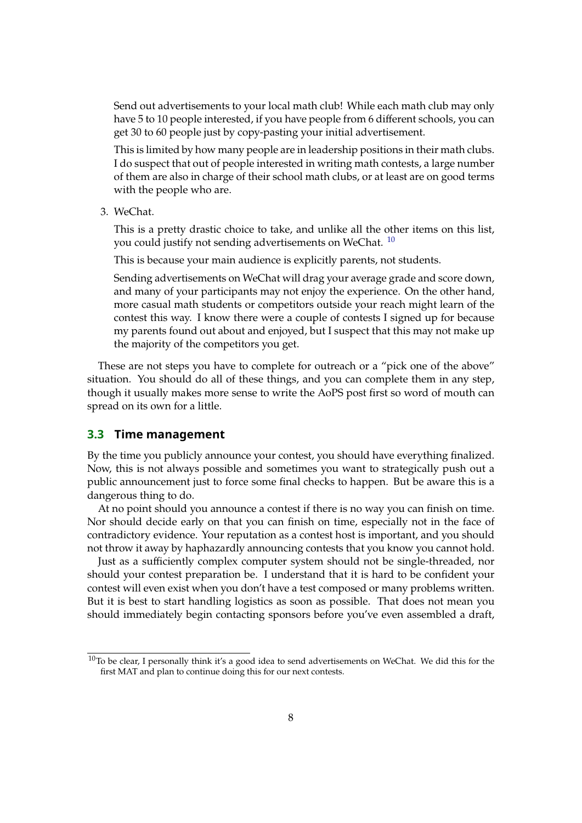Send out advertisements to your local math club! While each math club may only have 5 to 10 people interested, if you have people from 6 different schools, you can get 30 to 60 people just by copy-pasting your initial advertisement.

This is limited by how many people are in leadership positions in their math clubs. I do suspect that out of people interested in writing math contests, a large number of them are also in charge of their school math clubs, or at least are on good terms with the people who are.

3. WeChat.

This is a pretty drastic choice to take, and unlike all the other items on this list, you could justify not sending advertisements on WeChat. <sup>[10](#page-7-0)</sup>

This is because your main audience is explicitly parents, not students.

Sending advertisements on WeChat will drag your average grade and score down, and many of your participants may not enjoy the experience. On the other hand, more casual math students or competitors outside your reach might learn of the contest this way. I know there were a couple of contests I signed up for because my parents found out about and enjoyed, but I suspect that this may not make up the majority of the competitors you get.

These are not steps you have to complete for outreach or a "pick one of the above" situation. You should do all of these things, and you can complete them in any step, though it usually makes more sense to write the AoPS post first so word of mouth can spread on its own for a little.

#### **3.3 Time management**

By the time you publicly announce your contest, you should have everything finalized. Now, this is not always possible and sometimes you want to strategically push out a public announcement just to force some final checks to happen. But be aware this is a dangerous thing to do.

At no point should you announce a contest if there is no way you can finish on time. Nor should decide early on that you can finish on time, especially not in the face of contradictory evidence. Your reputation as a contest host is important, and you should not throw it away by haphazardly announcing contests that you know you cannot hold.

Just as a sufficiently complex computer system should not be single-threaded, nor should your contest preparation be. I understand that it is hard to be confident your contest will even exist when you don't have a test composed or many problems written. But it is best to start handling logistics as soon as possible. That does not mean you should immediately begin contacting sponsors before you've even assembled a draft,

<span id="page-7-0"></span> $10$ To be clear, I personally think it's a good idea to send advertisements on WeChat. We did this for the first MAT and plan to continue doing this for our next contests.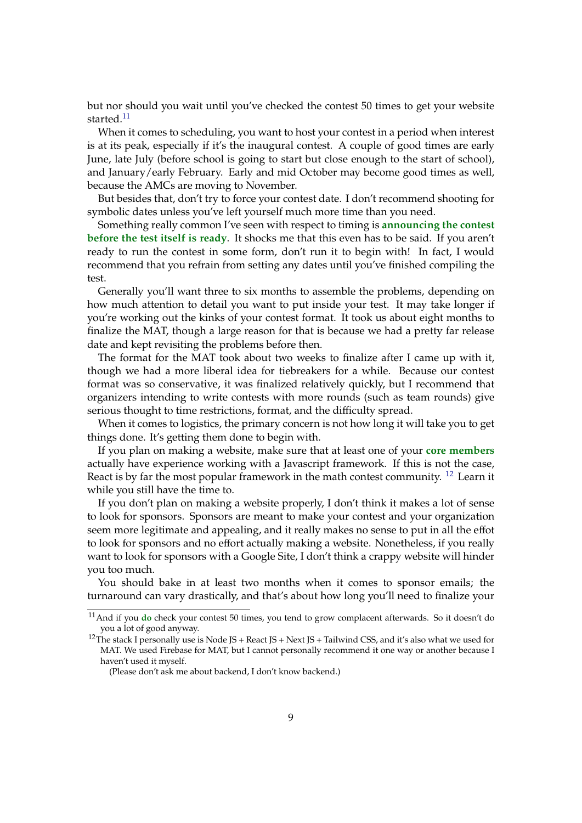but nor should you wait until you've checked the contest 50 times to get your website started.<sup>[11](#page-8-0)</sup>

When it comes to scheduling, you want to host your contest in a period when interest is at its peak, especially if it's the inaugural contest. A couple of good times are early June, late July (before school is going to start but close enough to the start of school), and January/early February. Early and mid October may become good times as well, because the AMCs are moving to November.

But besides that, don't try to force your contest date. I don't recommend shooting for symbolic dates unless you've left yourself much more time than you need.

Something really common I've seen with respect to timing is **announcing the contest before the test itself is ready.** It shocks me that this even has to be said. If you aren't ready to run the contest in some form, don't run it to begin with! In fact, I would recommend that you refrain from setting any dates until you've finished compiling the test.

Generally you'll want three to six months to assemble the problems, depending on how much attention to detail you want to put inside your test. It may take longer if you're working out the kinks of your contest format. It took us about eight months to finalize the MAT, though a large reason for that is because we had a pretty far release date and kept revisiting the problems before then.

The format for the MAT took about two weeks to finalize after I came up with it, though we had a more liberal idea for tiebreakers for a while. Because our contest format was so conservative, it was finalized relatively quickly, but I recommend that organizers intending to write contests with more rounds (such as team rounds) give serious thought to time restrictions, format, and the difficulty spread.

When it comes to logistics, the primary concern is not how long it will take you to get things done. It's getting them done to begin with.

If you plan on making a website, make sure that at least one of your **core members** actually have experience working with a Javascript framework. If this is not the case, React is by far the most popular framework in the math contest community. <sup>[12](#page-8-1)</sup> Learn it while you still have the time to.

If you don't plan on making a website properly, I don't think it makes a lot of sense to look for sponsors. Sponsors are meant to make your contest and your organization seem more legitimate and appealing, and it really makes no sense to put in all the effot to look for sponsors and no effort actually making a website. Nonetheless, if you really want to look for sponsors with a Google Site, I don't think a crappy website will hinder you too much.

You should bake in at least two months when it comes to sponsor emails; the turnaround can vary drastically, and that's about how long you'll need to finalize your

<span id="page-8-0"></span><sup>11</sup>And if you **do** check your contest 50 times, you tend to grow complacent afterwards. So it doesn't do you a lot of good anyway.

<span id="page-8-1"></span><sup>&</sup>lt;sup>12</sup>The stack I personally use is Node JS + React JS + Next JS + Tailwind CSS, and it's also what we used for MAT. We used Firebase for MAT, but I cannot personally recommend it one way or another because I haven't used it myself.

<sup>(</sup>Please don't ask me about backend, I don't know backend.)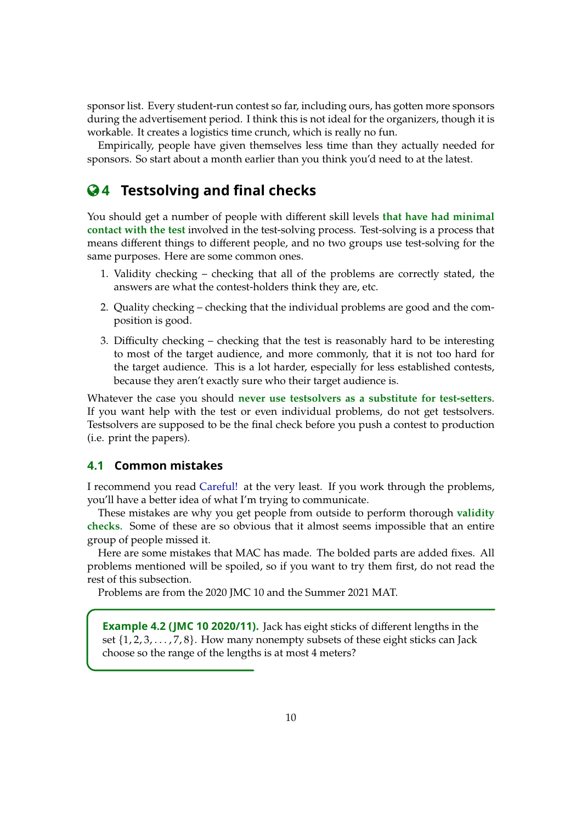sponsor list. Every student-run contest so far, including ours, has gotten more sponsors during the advertisement period. I think this is not ideal for the organizers, though it is workable. It creates a logistics time crunch, which is really no fun.

Empirically, people have given themselves less time than they actually needed for sponsors. So start about a month earlier than you think you'd need to at the latest.

# **4 Testsolving and final checks**

You should get a number of people with different skill levels **that have had minimal contact with the test** involved in the test-solving process. Test-solving is a process that means different things to different people, and no two groups use test-solving for the same purposes. Here are some common ones.

- 1. Validity checking checking that all of the problems are correctly stated, the answers are what the contest-holders think they are, etc.
- 2. Quality checking checking that the individual problems are good and the composition is good.
- 3. Difficulty checking checking that the test is reasonably hard to be interesting to most of the target audience, and more commonly, that it is not too hard for the target audience. This is a lot harder, especially for less established contests, because they aren't exactly sure who their target audience is.

Whatever the case you should **never use testsolvers as a substitute for test-setters**. If you want help with the test or even individual problems, do not get testsolvers. Testsolvers are supposed to be the final check before you push a contest to production (i.e. print the papers).

#### **4.1 Common mistakes**

I recommend you read [Careful!](https://www.dennisc.net/resources/careful.pdf) at the very least. If you work through the problems, you'll have a better idea of what I'm trying to communicate.

These mistakes are why you get people from outside to perform thorough **validity checks**. Some of these are so obvious that it almost seems impossible that an entire group of people missed it.

Here are some mistakes that MAC has made. The bolded parts are added fixes. All problems mentioned will be spoiled, so if you want to try them first, do not read the rest of this subsection.

Problems are from the 2020 JMC 10 and the Summer 2021 MAT.

**Example 4.2 (JMC 10 2020/11).** Jack has eight sticks of different lengths in the set  $\{1, 2, 3, \ldots, 7, 8\}$ . How many nonempty subsets of these eight sticks can Jack choose so the range of the lengths is at most 4 meters?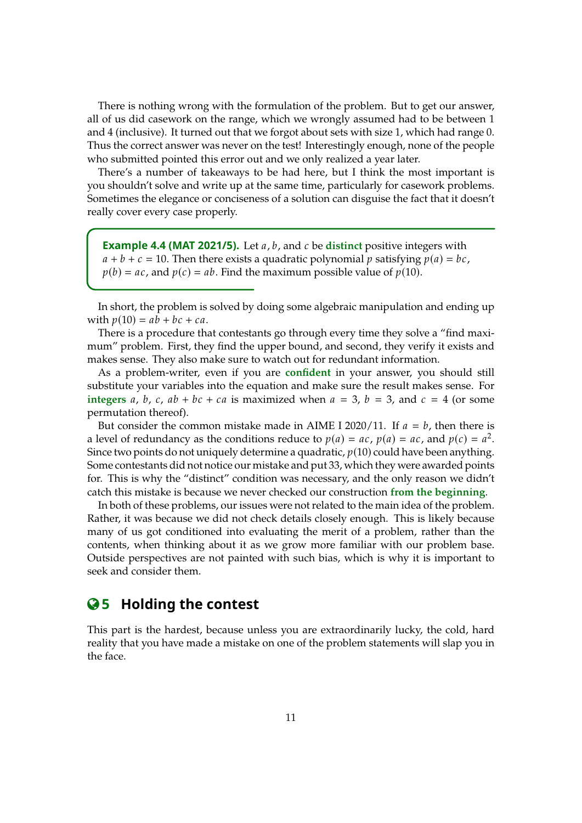There is nothing wrong with the formulation of the problem. But to get our answer, all of us did casework on the range, which we wrongly assumed had to be between 1 and 4 (inclusive). It turned out that we forgot about sets with size 1, which had range 0. Thus the correct answer was never on the test! Interestingly enough, none of the people who submitted pointed this error out and we only realized a year later.

There's a number of takeaways to be had here, but I think the most important is you shouldn't solve and write up at the same time, particularly for casework problems. Sometimes the elegance or conciseness of a solution can disguise the fact that it doesn't really cover every case properly.

**Example 4.4 (MAT 2021/5).** Let a, b, and c be distinct positive integers with  $a + b + c = 10$ . Then there exists a quadratic polynomial p satisfying  $p(a) = bc$ ,  $p(b) = ac$ , and  $p(c) = ab$ . Find the maximum possible value of  $p(10)$ .

In short, the problem is solved by doing some algebraic manipulation and ending up with  $p(10) = ab + bc + ca$ .

There is a procedure that contestants go through every time they solve a "find maximum" problem. First, they find the upper bound, and second, they verify it exists and makes sense. They also make sure to watch out for redundant information.

As a problem-writer, even if you are **confident** in your answer, you should still substitute your variables into the equation and make sure the result makes sense. For **integers** a, b, c,  $ab + bc + ca$  is maximized when  $a = 3$ ,  $b = 3$ , and  $c = 4$  (or some permutation thereof).

But consider the common mistake made in AIME I 2020/11. If  $a = b$ , then there is a level of redundancy as the conditions reduce to  $p(a) = ac$ ,  $p(a) = ac$ , and  $p(c) = a^2$ .<br>Since two points do not uniquely determine a quadratic  $p(10)$  could have been anything. Since two points do not uniquely determine a quadratic,  $p(10)$  could have been anything. Some contestants did not notice our mistake and put 33, which they were awarded points for. This is why the "distinct" condition was necessary, and the only reason we didn't catch this mistake is because we never checked our construction **from the beginning**.

In both of these problems, our issues were not related to the main idea of the problem. Rather, it was because we did not check details closely enough. This is likely because many of us got conditioned into evaluating the merit of a problem, rather than the contents, when thinking about it as we grow more familiar with our problem base. Outside perspectives are not painted with such bias, which is why it is important to seek and consider them.

### **5 Holding the contest**

This part is the hardest, because unless you are extraordinarily lucky, the cold, hard reality that you have made a mistake on one of the problem statements will slap you in the face.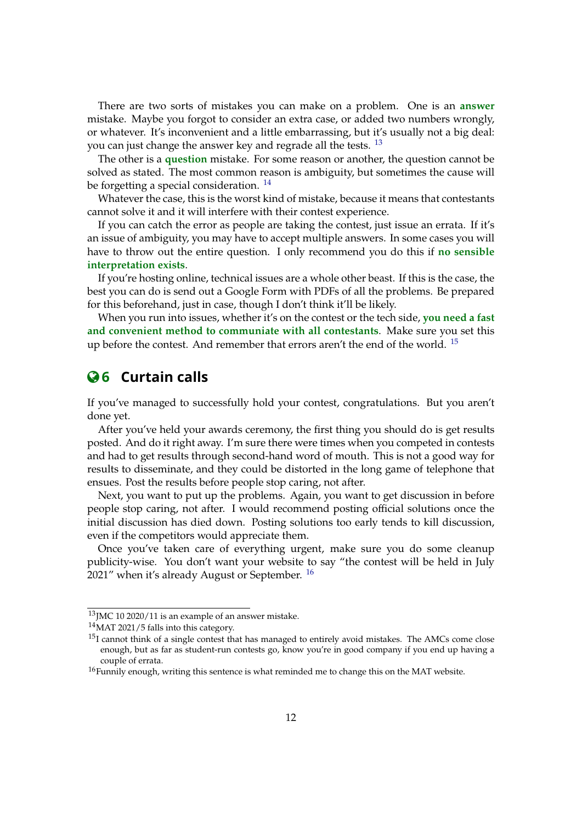There are two sorts of mistakes you can make on a problem. One is an **answer** mistake. Maybe you forgot to consider an extra case, or added two numbers wrongly, or whatever. It's inconvenient and a little embarrassing, but it's usually not a big deal: you can just change the answer key and regrade all the tests. <sup>[13](#page-11-0)</sup>

The other is a **question** mistake. For some reason or another, the question cannot be solved as stated. The most common reason is ambiguity, but sometimes the cause will be forgetting a special consideration.  $14$ 

Whatever the case, this is the worst kind of mistake, because it means that contestants cannot solve it and it will interfere with their contest experience.

If you can catch the error as people are taking the contest, just issue an errata. If it's an issue of ambiguity, you may have to accept multiple answers. In some cases you will have to throw out the entire question. I only recommend you do this if **no sensible interpretation exists**.

If you're hosting online, technical issues are a whole other beast. If this is the case, the best you can do is send out a Google Form with PDFs of all the problems. Be prepared for this beforehand, just in case, though I don't think it'll be likely.

When you run into issues, whether it's on the contest or the tech side, **you need a fast and convenient method to communiate with all contestants**. Make sure you set this up before the contest. And remember that errors aren't the end of the world. <sup>[15](#page-11-2)</sup>

# **6 Curtain calls**

If you've managed to successfully hold your contest, congratulations. But you aren't done yet.

After you've held your awards ceremony, the first thing you should do is get results posted. And do it right away. I'm sure there were times when you competed in contests and had to get results through second-hand word of mouth. This is not a good way for results to disseminate, and they could be distorted in the long game of telephone that ensues. Post the results before people stop caring, not after.

Next, you want to put up the problems. Again, you want to get discussion in before people stop caring, not after. I would recommend posting official solutions once the initial discussion has died down. Posting solutions too early tends to kill discussion, even if the competitors would appreciate them.

Once you've taken care of everything urgent, make sure you do some cleanup publicity-wise. You don't want your website to say "the contest will be held in July 2021" when it's already August or September.  $16$ 

<span id="page-11-0"></span> $^{13}$  JMC 10 2020/11 is an example of an answer mistake.

<span id="page-11-1"></span><sup>&</sup>lt;sup>14</sup>MAT 2021/5 falls into this category.

<span id="page-11-2"></span> $15I$  cannot think of a single contest that has managed to entirely avoid mistakes. The AMCs come close enough, but as far as student-run contests go, know you're in good company if you end up having a couple of errata.

<span id="page-11-3"></span><sup>&</sup>lt;sup>16</sup>Funnily enough, writing this sentence is what reminded me to change this on the MAT website.